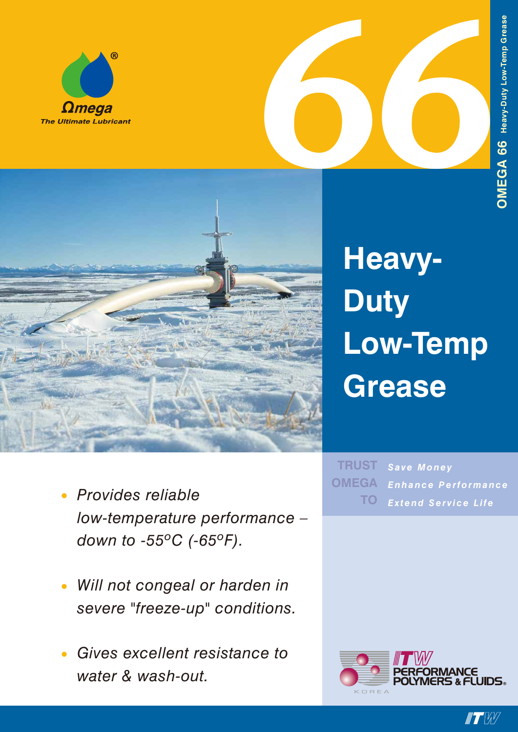



# **Heavy-Duty Low-Temp Grease**

- *• Provides reliable low-temperature performance – down to -55ºC (-65ºF).*
- *• Will not congeal or harden in severe "freeze-up" conditions.*
- *• Gives excellent resistance to water & wash-out.*

*Save Money Enhance Performance Extend Service Life* **TRUST OMEGA TO**



 $\blacksquare$